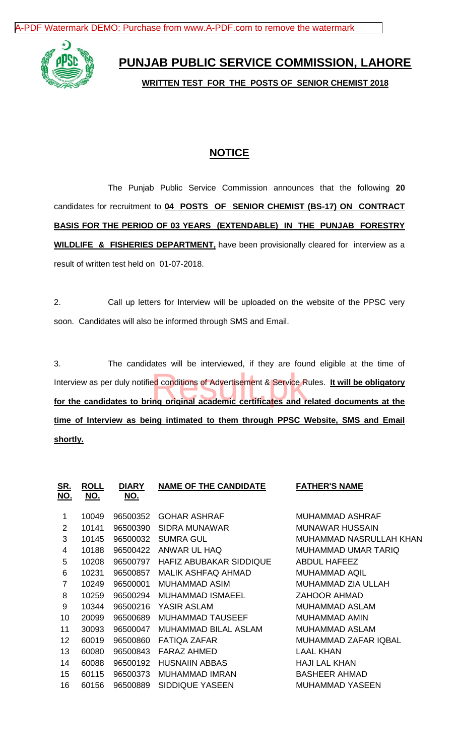[A-PDF Watermark DEMO: Purchase from www.A-PDF.com to remove the watermark](http://www.a-pdf.com/?wm-demo)



**PUNJAB PUBLIC SERVICE COMMISSION, LAHORE**

**WRITTEN TEST FOR THE POSTS OF SENIOR CHEMIST 2018**

## **NOTICE**

The Punjab Public Service Commission announces that the following **20** candidates for recruitment to **04 POSTS OF SENIOR CHEMIST (BS-17) ON CONTRACT BASIS FOR THE PERIOD OF 03 YEARS (EXTENDABLE) IN THE PUNJAB FORESTRY WILDLIFE & FISHERIES DEPARTMENT,** have been provisionally cleared for interview as a result of written test held on 01-07-2018.

2. Call up letters for Interview will be uploaded on the website of the PPSC very soon. Candidates will also be informed through SMS and Email.

3. The candidates will be interviewed, if they are found eligible at the time of Interview as per duly notified conditions of Advertisement & Service Rules. **It will be obligatory**  Interview as per duly notified conditions of Advertisement & Service Rules. It will be obligatory<br>for the candidates to bring original academic certificates and related documents at the **time of Interview as being intimated to them through PPSC Website, SMS and Email shortly.**

| <u>SR.</u><br><u>NO.</u> | <b>ROLL</b><br>NO. | <b>DIARY</b><br><u>NO.</u> | <b>NAME OF THE CANDIDATE</b>                      | <b>FATHER'S NAME</b>   |  |
|--------------------------|--------------------|----------------------------|---------------------------------------------------|------------------------|--|
|                          |                    |                            |                                                   |                        |  |
| 1                        | 10049              | 96500352                   | <b>GOHAR ASHRAF</b><br>MUHAMMAD ASHRAF            |                        |  |
| $\overline{2}$           | 10141              | 96500390                   | SIDRA MUNAWAR<br><b>MUNAWAR HUSSAIN</b>           |                        |  |
| 3                        | 10145              | 96500032                   | <b>SUMRA GUL</b><br>MUHAMMAD NASRULLAH KHAN       |                        |  |
| 4                        | 10188              | 96500422                   | ANWAR UL HAQ<br><b>MUHAMMAD UMAR TARIQ</b>        |                        |  |
| 5                        | 10208              | 96500797                   | HAFIZ ABUBAKAR SIDDIQUE<br><b>ABDUL HAFEEZ</b>    |                        |  |
| 6                        | 10231              | 96500857                   | <b>MALIK ASHFAQ AHMAD</b><br><b>MUHAMMAD AQIL</b> |                        |  |
| $\overline{7}$           | 10249              | 96500001                   | <b>MUHAMMAD ZIA ULLAH</b><br>MUHAMMAD ASIM        |                        |  |
| 8                        | 10259              | 96500294                   | <b>MUHAMMAD ISMAEEL</b><br><b>ZAHOOR AHMAD</b>    |                        |  |
| 9                        | 10344              | 96500216                   | YASIR ASLAM<br><b>MUHAMMAD ASLAM</b>              |                        |  |
| 10                       | 20099              | 96500689                   | <b>MUHAMMAD TAUSEEF</b><br><b>MUHAMMAD AMIN</b>   |                        |  |
| 11                       | 30093              | 96500047                   | MUHAMMAD BILAL ASLAM<br>MUHAMMAD ASLAM            |                        |  |
| 12                       | 60019              | 96500860                   | FATIQA ZAFAR                                      | MUHAMMAD ZAFAR IQBAL   |  |
| 13                       | 60080              | 96500843                   | <b>LAAL KHAN</b><br>FARAZ AHMED                   |                        |  |
| 14                       | 60088              | 96500192                   | <b>HUSNAIIN ABBAS</b>                             | <b>HAJI LAL KHAN</b>   |  |
| 15                       | 60115              | 96500373                   | <b>MUHAMMAD IMRAN</b>                             | <b>BASHEER AHMAD</b>   |  |
| 16                       | 60156              | 96500889                   | <b>SIDDIQUE YASEEN</b>                            | <b>MUHAMMAD YASEEN</b> |  |